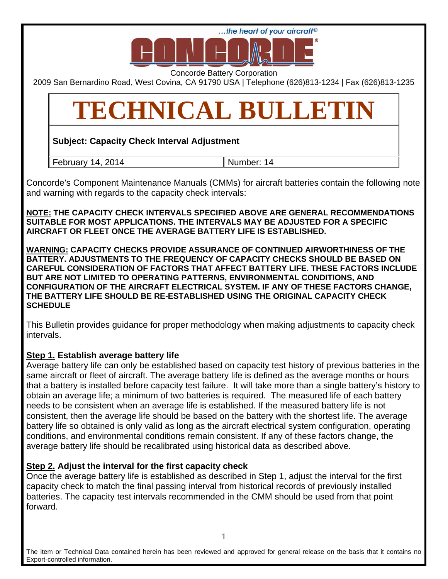

Concorde Battery Corporation

2009 San Bernardino Road, West Covina, CA 91790 USA | Telephone (626)813-1234 | Fax (626)813-1235

# **TECHNICAL BULLETIN**

**Subject: Capacity Check Interval Adjustment** 

February 14, 2014 Number: 14

Concorde's Component Maintenance Manuals (CMMs) for aircraft batteries contain the following note and warning with regards to the capacity check intervals:

**NOTE: THE CAPACITY CHECK INTERVALS SPECIFIED ABOVE ARE GENERAL RECOMMENDATIONS SUITABLE FOR MOST APPLICATIONS. THE INTERVALS MAY BE ADJUSTED FOR A SPECIFIC AIRCRAFT OR FLEET ONCE THE AVERAGE BATTERY LIFE IS ESTABLISHED.** 

**WARNING: CAPACITY CHECKS PROVIDE ASSURANCE OF CONTINUED AIRWORTHINESS OF THE BATTERY. ADJUSTMENTS TO THE FREQUENCY OF CAPACITY CHECKS SHOULD BE BASED ON CAREFUL CONSIDERATION OF FACTORS THAT AFFECT BATTERY LIFE. THESE FACTORS INCLUDE BUT ARE NOT LIMITED TO OPERATING PATTERNS, ENVIRONMENTAL CONDITIONS, AND CONFIGURATION OF THE AIRCRAFT ELECTRICAL SYSTEM. IF ANY OF THESE FACTORS CHANGE, THE BATTERY LIFE SHOULD BE RE-ESTABLISHED USING THE ORIGINAL CAPACITY CHECK SCHEDULE** 

This Bulletin provides guidance for proper methodology when making adjustments to capacity check intervals.

# **Step 1. Establish average battery life**

Average battery life can only be established based on capacity test history of previous batteries in the same aircraft or fleet of aircraft. The average battery life is defined as the average months or hours that a battery is installed before capacity test failure. It will take more than a single battery's history to obtain an average life; a minimum of two batteries is required. The measured life of each battery needs to be consistent when an average life is established. If the measured battery life is not consistent, then the average life should be based on the battery with the shortest life. The average battery life so obtained is only valid as long as the aircraft electrical system configuration, operating conditions, and environmental conditions remain consistent. If any of these factors change, the average battery life should be recalibrated using historical data as described above.

# **Step 2. Adjust the interval for the first capacity check**

Once the average battery life is established as described in Step 1, adjust the interval for the first capacity check to match the final passing interval from historical records of previously installed batteries. The capacity test intervals recommended in the CMM should be used from that point forward.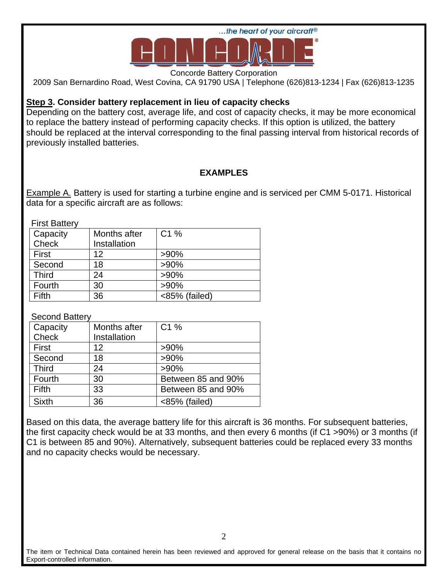

Concorde Battery Corporation

2009 San Bernardino Road, West Covina, CA 91790 USA | Telephone (626)813-1234 | Fax (626)813-1235

## **Step 3. Consider battery replacement in lieu of capacity checks**

Depending on the battery cost, average life, and cost of capacity checks, it may be more economical to replace the battery instead of performing capacity checks. If this option is utilized, the battery should be replaced at the interval corresponding to the final passing interval from historical records of previously installed batteries.

# **EXAMPLES**

**Example A. Battery is used for starting a turbine engine and is serviced per CMM 5-0171. Historical** data for a specific aircraft are as follows:

First Battery

| .            |              |                  |
|--------------|--------------|------------------|
| Capacity     | Months after | C <sub>1</sub> % |
| Check        | Installation |                  |
| First        | 12           | $>90\%$          |
| Second       | 18           | $>90\%$          |
| <b>Third</b> | 24           | $>90\%$          |
| Fourth       | 30           | $>90\%$          |
| Fifth        | 36           | <85% (failed)    |

Second Battery

| Capacity     | Months after | C1%                |
|--------------|--------------|--------------------|
| Check        | Installation |                    |
| First        | 12           | $>90\%$            |
| Second       | 18           | $>90\%$            |
| <b>Third</b> | 24           | $>90\%$            |
| Fourth       | 30           | Between 85 and 90% |
| Fifth        | 33           | Between 85 and 90% |
| <b>Sixth</b> | 36           | <85% (failed)      |

Based on this data, the average battery life for this aircraft is 36 months. For subsequent batteries, the first capacity check would be at 33 months, and then every 6 months (if C1 >90%) or 3 months (if C1 is between 85 and 90%). Alternatively, subsequent batteries could be replaced every 33 months and no capacity checks would be necessary.

The item or Technical Data contained herein has been reviewed and approved for general release on the basis that it contains no Export-controlled information.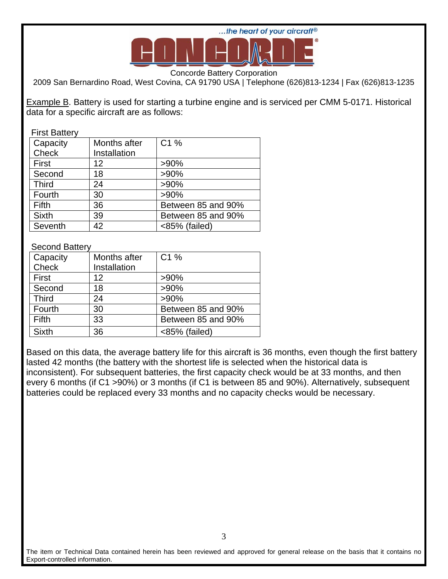

Concorde Battery Corporation

2009 San Bernardino Road, West Covina, CA 91790 USA | Telephone (626)813-1234 | Fax (626)813-1235

Example B. Battery is used for starting a turbine engine and is serviced per CMM 5-0171. Historical data for a specific aircraft are as follows:

## First Battery

| Capacity     | Months after | C1%                |
|--------------|--------------|--------------------|
| Check        | Installation |                    |
| First        | 12           | $>90\%$            |
| Second       | 18           | $>90\%$            |
| <b>Third</b> | 24           | $>90\%$            |
| Fourth       | 30           | $>90\%$            |
| Fifth        | 36           | Between 85 and 90% |
| <b>Sixth</b> | 39           | Between 85 and 90% |
| Seventh      | 42           | <85% (failed)      |

## Second Battery

| Capacity     | Months after | C1 %               |
|--------------|--------------|--------------------|
| Check        | Installation |                    |
| First        | 12           | $>90\%$            |
| Second       | 18           | $>90\%$            |
| <b>Third</b> | 24           | $>90\%$            |
| Fourth       | 30           | Between 85 and 90% |
| Fifth        | 33           | Between 85 and 90% |
| <b>Sixth</b> | 36           | <85% (failed)      |

Based on this data, the average battery life for this aircraft is 36 months, even though the first battery lasted 42 months (the battery with the shortest life is selected when the historical data is inconsistent). For subsequent batteries, the first capacity check would be at 33 months, and then every 6 months (if C1 >90%) or 3 months (if C1 is between 85 and 90%). Alternatively, subsequent batteries could be replaced every 33 months and no capacity checks would be necessary.

The item or Technical Data contained herein has been reviewed and approved for general release on the basis that it contains no Export-controlled information.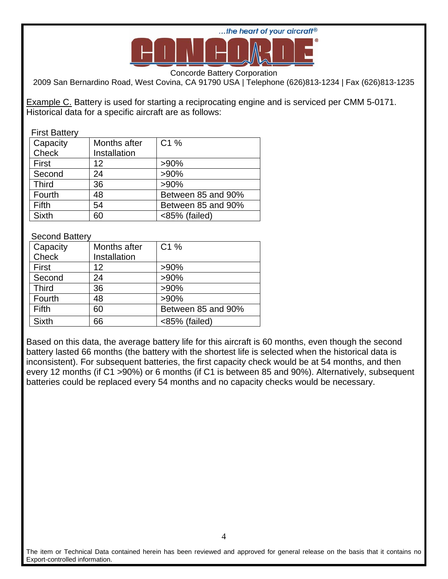

Concorde Battery Corporation

2009 San Bernardino Road, West Covina, CA 91790 USA | Telephone (626)813-1234 | Fax (626)813-1235

Example C. Battery is used for starting a reciprocating engine and is serviced per CMM 5-0171. Historical data for a specific aircraft are as follows:

#### First Battery

| Capacity     | Months after | C1 %               |
|--------------|--------------|--------------------|
| Check        | Installation |                    |
| First        | 12           | $>90\%$            |
| Second       | 24           | $>90\%$            |
| <b>Third</b> | 36           | $>90\%$            |
| Fourth       | 48           | Between 85 and 90% |
| Fifth        | 54           | Between 85 and 90% |
| <b>Sixth</b> | 60           | <85% (failed)      |

## Second Battery

| Capacity     | Months after | C1 %               |
|--------------|--------------|--------------------|
| Check        | Installation |                    |
| First        | 12           | $>90\%$            |
| Second       | 24           | $>90\%$            |
| <b>Third</b> | 36           | $>90\%$            |
| Fourth       | 48           | $>90\%$            |
| Fifth        | 60           | Between 85 and 90% |
| <b>Sixth</b> | 66           | <85% (failed)      |

Based on this data, the average battery life for this aircraft is 60 months, even though the second battery lasted 66 months (the battery with the shortest life is selected when the historical data is inconsistent). For subsequent batteries, the first capacity check would be at 54 months, and then every 12 months (if C1 >90%) or 6 months (if C1 is between 85 and 90%). Alternatively, subsequent batteries could be replaced every 54 months and no capacity checks would be necessary.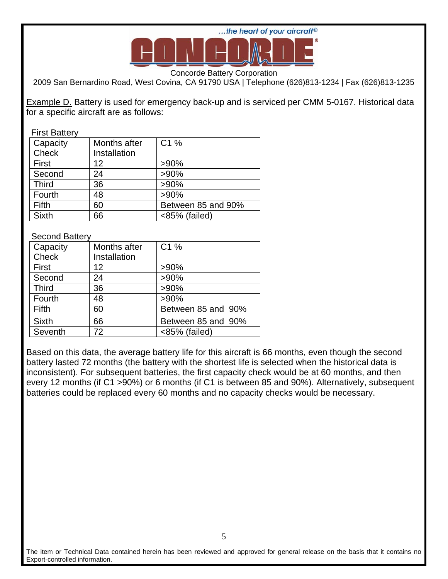

Concorde Battery Corporation

2009 San Bernardino Road, West Covina, CA 91790 USA | Telephone (626)813-1234 | Fax (626)813-1235

Example D. Battery is used for emergency back-up and is serviced per CMM 5-0167. Historical data for a specific aircraft are as follows:

#### First Battery

| Capacity     | Months after | C1%                |
|--------------|--------------|--------------------|
| Check        | Installation |                    |
| First        | 12           | $>90\%$            |
| Second       | 24           | $>90\%$            |
| <b>Third</b> | 36           | $>90\%$            |
| Fourth       | 48           | $>90\%$            |
| Fifth        | 60           | Between 85 and 90% |
| <b>Sixth</b> | 66           | <85% (failed)      |

## Second Battery

| Capacity     | Months after | C <sub>1</sub> %   |
|--------------|--------------|--------------------|
| <b>Check</b> | Installation |                    |
| First        | 12           | $>90\%$            |
| Second       | 24           | $>90\%$            |
| <b>Third</b> | 36           | $>90\%$            |
| Fourth       | 48           | $>90\%$            |
| Fifth        | 60           | Between 85 and 90% |
| <b>Sixth</b> | 66           | Between 85 and 90% |
| Seventh      | 72           | <85% (failed)      |

Based on this data, the average battery life for this aircraft is 66 months, even though the second battery lasted 72 months (the battery with the shortest life is selected when the historical data is inconsistent). For subsequent batteries, the first capacity check would be at 60 months, and then every 12 months (if C1 >90%) or 6 months (if C1 is between 85 and 90%). Alternatively, subsequent batteries could be replaced every 60 months and no capacity checks would be necessary.